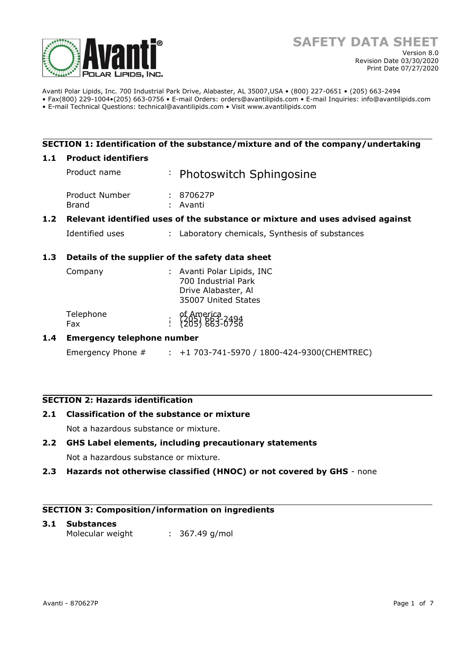

Avanti Polar Lipids, Inc. 700 Industrial Park Drive, Alabaster, AL 35007,USA • (800) 227-0651 • (205) 663-2494 • Fax(800) 229-1004•(205) 663-0756 • E-mail Orders: orders@avantilipids.com • E-mail Inquiries: info@avantilipids.com

• E-mail Technical Questions: technical@avantilipids.com • Visit www.avantilipids.com

## **SECTION 1: Identification of the substance/mixture and of the company/undertaking**

#### **1.1 Product identifiers**

|     | Product name                                                                  |  | : Photoswitch Sphingosine                       |  |  |
|-----|-------------------------------------------------------------------------------|--|-------------------------------------------------|--|--|
|     | Product Number<br>Brand                                                       |  | : 870627P<br>: Avanti                           |  |  |
| 1.2 | Relevant identified uses of the substance or mixture and uses advised against |  |                                                 |  |  |
|     | Identified uses                                                               |  | : Laboratory chemicals, Synthesis of substances |  |  |
| 1.3 | Details of the supplier of the safety data sheet                              |  |                                                 |  |  |

| Company          | : Avanti Polar Lipids, INC<br>700 Industrial Park<br>Drive Alabaster, Al<br>35007 United States                            |
|------------------|----------------------------------------------------------------------------------------------------------------------------|
| Telephone<br>Fax | of America<br>$\begin{array}{r} 0.61886 & 0.61886 \\ 0.6186 & 0.61866 \\ 0.6186 & 0.61866 \\ 0.6186 & 0.61866 \end{array}$ |

## **1.4 Emergency telephone number**

Emergency Phone # : +1 703-741-5970 / 1800-424-9300(CHEMTREC)

# **SECTION 2: Hazards identification**

## **2.1 Classification of the substance or mixture**

Not a hazardous substance or mixture.

## **2.2 GHS Label elements, including precautionary statements**

Not a hazardous substance or mixture.

**2.3 Hazards not otherwise classified (HNOC) or not covered by GHS** - none

#### **SECTION 3: Composition/information on ingredients**

# **3.1 Substances**  Molecular weight : 367.49 g/mol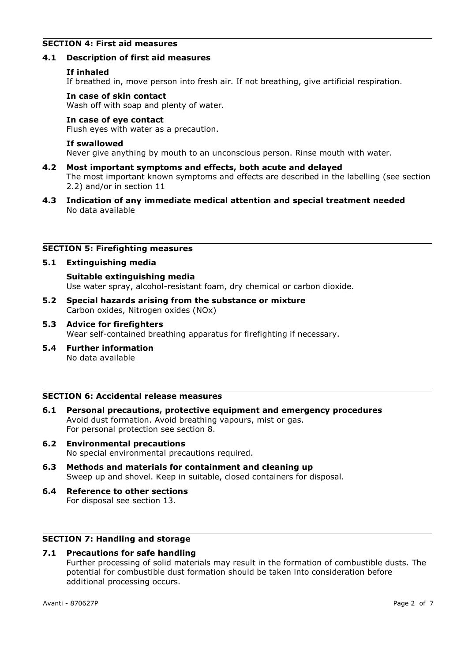## **SECTION 4: First aid measures**

#### **4.1 Description of first aid measures**

#### **If inhaled**

If breathed in, move person into fresh air. If not breathing, give artificial respiration.

#### **In case of skin contact**

Wash off with soap and plenty of water.

## **In case of eye contact**

Flush eyes with water as a precaution.

#### **If swallowed**

Never give anything by mouth to an unconscious person. Rinse mouth with water.

- **4.2 Most important symptoms and effects, both acute and delayed** The most important known symptoms and effects are described in the labelling (see section 2.2) and/or in section 11
- **4.3 Indication of any immediate medical attention and special treatment needed** No data available

## **SECTION 5: Firefighting measures**

## **5.1 Extinguishing media**

**Suitable extinguishing media** Use water spray, alcohol-resistant foam, dry chemical or carbon dioxide.

- **5.2 Special hazards arising from the substance or mixture** Carbon oxides, Nitrogen oxides (NOx)
- **5.3 Advice for firefighters** Wear self-contained breathing apparatus for firefighting if necessary.
- **5.4 Further information** No data available

## **SECTION 6: Accidental release measures**

- **6.1 Personal precautions, protective equipment and emergency procedures** Avoid dust formation. Avoid breathing vapours, mist or gas. For personal protection see section 8.
- **6.2 Environmental precautions** No special environmental precautions required.
- **6.3 Methods and materials for containment and cleaning up** Sweep up and shovel. Keep in suitable, closed containers for disposal.
- **6.4 Reference to other sections** For disposal see section 13.

# **SECTION 7: Handling and storage**

## **7.1 Precautions for safe handling**

Further processing of solid materials may result in the formation of combustible dusts. The potential for combustible dust formation should be taken into consideration before additional processing occurs.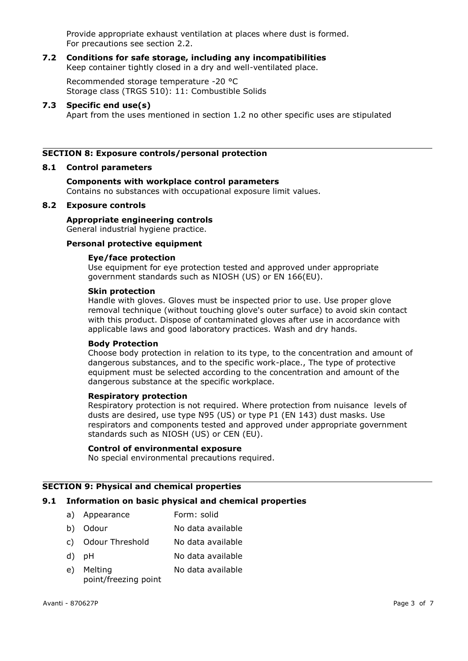Provide appropriate exhaust ventilation at places where dust is formed. For precautions see section 2.2.

#### **7.2 Conditions for safe storage, including any incompatibilities** Keep container tightly closed in a dry and well-ventilated place.

Recommended storage temperature -20 °C Storage class (TRGS 510): 11: Combustible Solids

## **7.3 Specific end use(s)**

Apart from the uses mentioned in section 1.2 no other specific uses are stipulated

## **SECTION 8: Exposure controls/personal protection**

#### **8.1 Control parameters**

# **Components with workplace control parameters**

Contains no substances with occupational exposure limit values.

## **8.2 Exposure controls**

## **Appropriate engineering controls**

General industrial hygiene practice.

# **Personal protective equipment**

## **Eye/face protection**

Use equipment for eye protection tested and approved under appropriate government standards such as NIOSH (US) or EN 166(EU).

#### **Skin protection**

Handle with gloves. Gloves must be inspected prior to use. Use proper glove removal technique (without touching glove's outer surface) to avoid skin contact with this product. Dispose of contaminated gloves after use in accordance with applicable laws and good laboratory practices. Wash and dry hands.

#### **Body Protection**

Choose body protection in relation to its type, to the concentration and amount of dangerous substances, and to the specific work-place., The type of protective equipment must be selected according to the concentration and amount of the dangerous substance at the specific workplace.

#### **Respiratory protection**

Respiratory protection is not required. Where protection from nuisance levels of dusts are desired, use type N95 (US) or type P1 (EN 143) dust masks. Use respirators and components tested and approved under appropriate government standards such as NIOSH (US) or CEN (EU).

#### **Control of environmental exposure**

No special environmental precautions required.

## **SECTION 9: Physical and chemical properties**

## **9.1 Information on basic physical and chemical properties**

- a) Appearance Form: solid
- b) Odour No data available
- c) Odour Threshold No data available
- d) pH No data available
- e) Melting point/freezing point No data available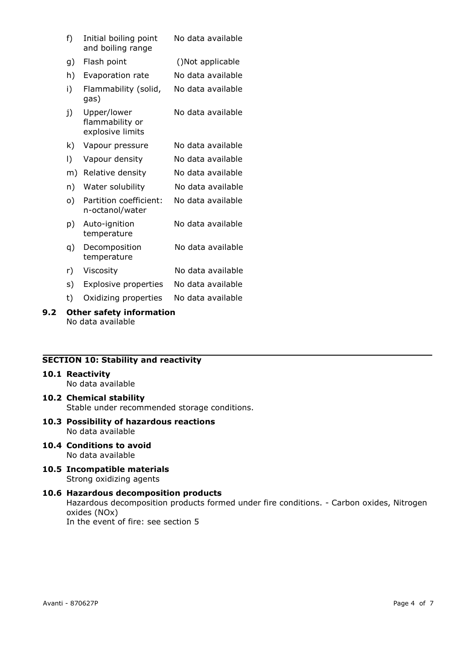| f) | Initial boiling point<br>and boiling range         | No data available |
|----|----------------------------------------------------|-------------------|
| g) | Flash point                                        | ()Not applicable  |
| h) | Evaporation rate                                   | No data available |
| i) | Flammability (solid,<br>gas)                       | No data available |
| j) | Upper/lower<br>flammability or<br>explosive limits | No data available |
| k) | Vapour pressure                                    | No data available |
| I) | Vapour density                                     | No data available |
| m) | Relative density                                   | No data available |
| n) | Water solubility                                   | No data available |
| o) | Partition coefficient:<br>n-octanol/water          | No data available |
| p) | Auto-ignition<br>temperature                       | No data available |
| q) | Decomposition<br>temperature                       | No data available |
| r) | Viscosity                                          | No data available |
| s) | Explosive properties                               | No data available |
| t) | Oxidizing properties                               | No data available |

## **9.2 Other safety information** No data available

# **SECTION 10: Stability and reactivity**

#### **10.1 Reactivity**

No data available

- **10.2 Chemical stability** Stable under recommended storage conditions.
- **10.3 Possibility of hazardous reactions** No data available
- **10.4 Conditions to avoid** No data available
- **10.5 Incompatible materials** Strong oxidizing agents

## **10.6 Hazardous decomposition products** Hazardous decomposition products formed under fire conditions. - Carbon oxides, Nitrogen oxides (NOx) In the event of fire: see section 5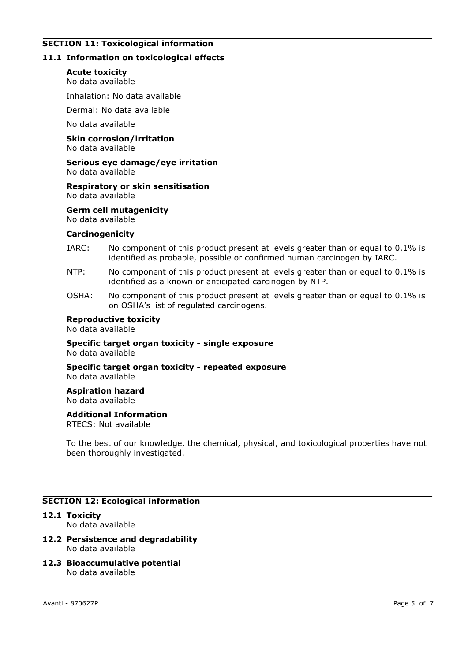# **SECTION 11: Toxicological information**

## **11.1 Information on toxicological effects**

#### **Acute toxicity**

No data available

Inhalation: No data available

Dermal: No data available

No data available

**Skin corrosion/irritation** No data available

# **Serious eye damage/eye irritation**

No data available

#### **Respiratory or skin sensitisation** No data available

**Germ cell mutagenicity**

No data available

#### **Carcinogenicity**

- IARC: No component of this product present at levels greater than or equal to 0.1% is identified as probable, possible or confirmed human carcinogen by IARC.
- NTP: No component of this product present at levels greater than or equal to 0.1% is identified as a known or anticipated carcinogen by NTP.
- OSHA: No component of this product present at levels greater than or equal to 0.1% is on OSHA's list of regulated carcinogens.

#### **Reproductive toxicity**

No data available

#### **Specific target organ toxicity - single exposure** No data available

**Specific target organ toxicity - repeated exposure** No data available

#### **Aspiration hazard**

No data available

#### **Additional Information**

RTECS: Not available

To the best of our knowledge, the chemical, physical, and toxicological properties have not been thoroughly investigated.

## **SECTION 12: Ecological information**

# **12.1 Toxicity**

No data available

#### **12.2 Persistence and degradability** No data available

**12.3 Bioaccumulative potential** No data available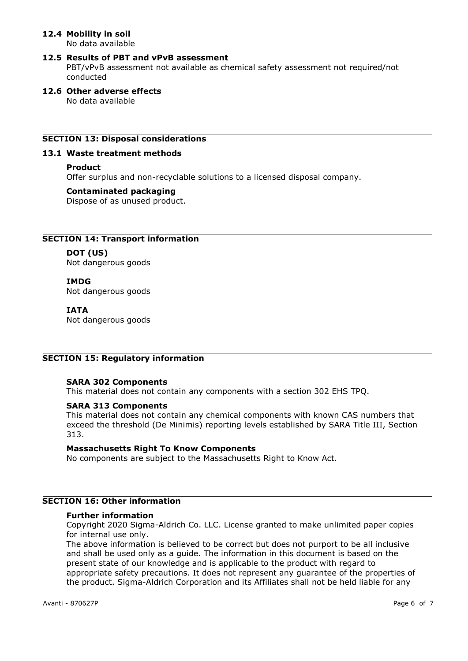# **12.4 Mobility in soil**

No data available

## **12.5 Results of PBT and vPvB assessment**

PBT/vPvB assessment not available as chemical safety assessment not required/not conducted

# **12.6 Other adverse effects**

No data available

# **SECTION 13: Disposal considerations**

## **13.1 Waste treatment methods**

## **Product**

Offer surplus and non-recyclable solutions to a licensed disposal company.

## **Contaminated packaging**

Dispose of as unused product.

# **SECTION 14: Transport information**

## **DOT (US)**

Not dangerous goods

## **IMDG**

Not dangerous goods

## **IATA**

Not dangerous goods

# **SECTION 15: Regulatory information**

## **SARA 302 Components**

This material does not contain any components with a section 302 EHS TPQ.

## **SARA 313 Components**

This material does not contain any chemical components with known CAS numbers that exceed the threshold (De Minimis) reporting levels established by SARA Title III, Section 313.

#### **Massachusetts Right To Know Components**

No components are subject to the Massachusetts Right to Know Act.

# **SECTION 16: Other information**

#### **Further information**

Copyright 2020 Sigma-Aldrich Co. LLC. License granted to make unlimited paper copies for internal use only.

The above information is believed to be correct but does not purport to be all inclusive and shall be used only as a guide. The information in this document is based on the present state of our knowledge and is applicable to the product with regard to appropriate safety precautions. It does not represent any guarantee of the properties of the product. Sigma-Aldrich Corporation and its Affiliates shall not be held liable for any